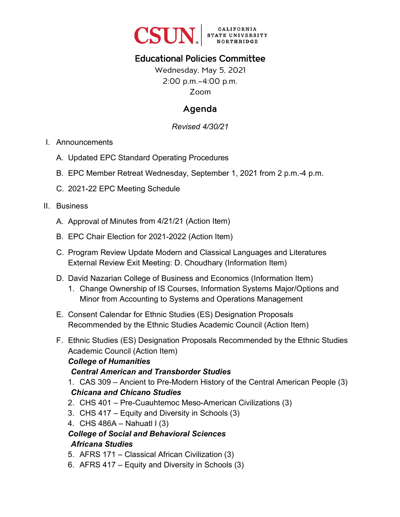

## Educational Policies Committee

Wednesday, May 5, 2021 2:00 p.m.–4:00 p.m. Zoom

## Agenda

*Revised 4/30/21*

#### I. Announcements

- A. Updated EPC Standard Operating Procedures
- B. EPC Member Retreat Wednesday, September 1, 2021 from 2 p.m.-4 p.m.
- C. 2021-22 EPC Meeting Schedule

#### II. Business

- A. Approval of Minutes from 4/21/21 (Action Item)
- B. EPC Chair Election for 2021-2022 (Action Item)
- C. Program Review Update Modern and Classical Languages and Literatures External Review Exit Meeting: D. Choudhary (Information Item)
- D. David Nazarian College of Business and Economics (Information Item)
	- 1. Change Ownership of IS Courses, Information Systems Major/Options and Minor from Accounting to Systems and Operations Management
- E. Consent Calendar for Ethnic Studies (ES) Designation Proposals Recommended by the Ethnic Studies Academic Council (Action Item)
- F. Ethnic Studies (ES) Designation Proposals Recommended by the Ethnic Studies Academic Council (Action Item)

#### *College of Humanities*

#### *Central American and Transborder Studies*

- 1. CAS 309 Ancient to Pre-Modern History of the Central American People (3) *Chicana and Chicano Studies*
- 2. CHS 401 Pre-Cuauhtemoc Meso-American Civilizations (3)
- 3. CHS 417 Equity and Diversity in Schools (3)
- 4. CHS 486A Nahuatl I (3)

### *College of Social and Behavioral Sciences Africana Studies*

- 5. AFRS 171 Classical African Civilization (3)
- 6. AFRS 417 Equity and Diversity in Schools (3)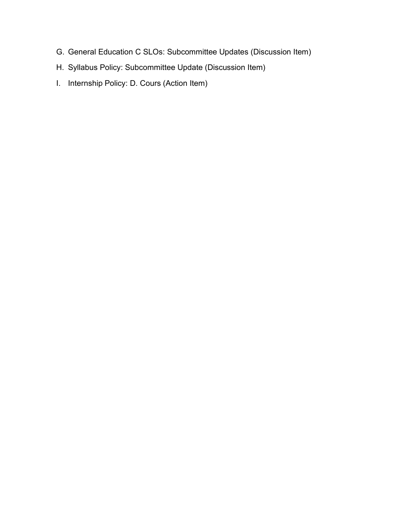- G. General Education C SLOs: Subcommittee Updates (Discussion Item)
- H. Syllabus Policy: Subcommittee Update (Discussion Item)
- I. Internship Policy: D. Cours (Action Item)